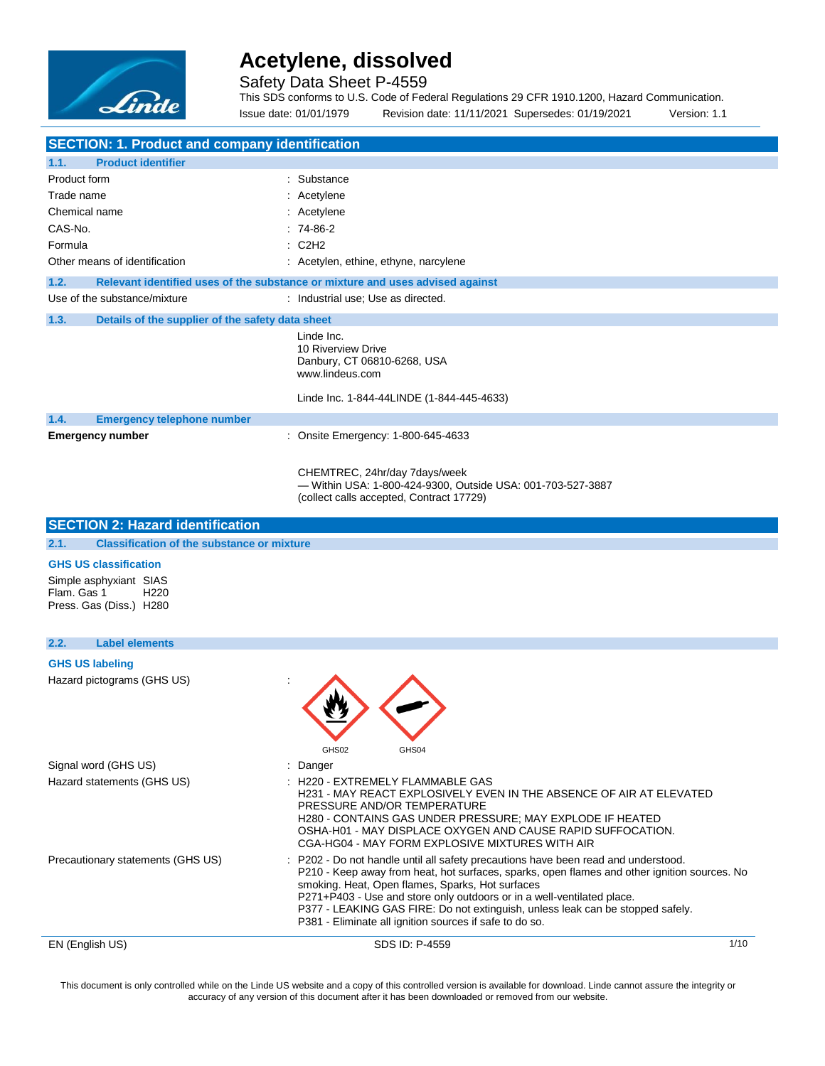

Safety Data Sheet P-4559

This SDS conforms to U.S. Code of Federal Regulations 29 CFR 1910.1200, Hazard Communication. Issue date: 01/01/1979 Revision date: 11/11/2021 Supersedes: 01/19/2021 Version: 1.1

| <b>SECTION: 1. Product and company identification</b>                                |                                                                                                                                                                                                                                                                                                                                                                                                                                                               |
|--------------------------------------------------------------------------------------|---------------------------------------------------------------------------------------------------------------------------------------------------------------------------------------------------------------------------------------------------------------------------------------------------------------------------------------------------------------------------------------------------------------------------------------------------------------|
| <b>Product identifier</b><br>1.1.                                                    |                                                                                                                                                                                                                                                                                                                                                                                                                                                               |
| Product form                                                                         | : Substance                                                                                                                                                                                                                                                                                                                                                                                                                                                   |
| Trade name                                                                           | : Acetylene                                                                                                                                                                                                                                                                                                                                                                                                                                                   |
| Chemical name                                                                        | : Acetylene                                                                                                                                                                                                                                                                                                                                                                                                                                                   |
| CAS-No.                                                                              | $: 74-86-2$                                                                                                                                                                                                                                                                                                                                                                                                                                                   |
| Formula                                                                              | $\therefore$ C2H2                                                                                                                                                                                                                                                                                                                                                                                                                                             |
| Other means of identification                                                        | : Acetylen, ethine, ethyne, narcylene                                                                                                                                                                                                                                                                                                                                                                                                                         |
| 1.2.                                                                                 | Relevant identified uses of the substance or mixture and uses advised against                                                                                                                                                                                                                                                                                                                                                                                 |
| Use of the substance/mixture                                                         | : Industrial use; Use as directed.                                                                                                                                                                                                                                                                                                                                                                                                                            |
| 1.3.<br>Details of the supplier of the safety data sheet                             |                                                                                                                                                                                                                                                                                                                                                                                                                                                               |
|                                                                                      | Linde Inc.<br>10 Riverview Drive<br>Danbury, CT 06810-6268, USA<br>www.lindeus.com                                                                                                                                                                                                                                                                                                                                                                            |
|                                                                                      | Linde Inc. 1-844-44LINDE (1-844-445-4633)                                                                                                                                                                                                                                                                                                                                                                                                                     |
| 1.4.<br><b>Emergency telephone number</b>                                            |                                                                                                                                                                                                                                                                                                                                                                                                                                                               |
| <b>Emergency number</b>                                                              | : Onsite Emergency: 1-800-645-4633                                                                                                                                                                                                                                                                                                                                                                                                                            |
|                                                                                      | CHEMTREC, 24hr/day 7days/week<br>- Within USA: 1-800-424-9300, Outside USA: 001-703-527-3887<br>(collect calls accepted, Contract 17729)                                                                                                                                                                                                                                                                                                                      |
| <b>SECTION 2: Hazard identification</b>                                              |                                                                                                                                                                                                                                                                                                                                                                                                                                                               |
| 2.1.<br><b>Classification of the substance or mixture</b>                            |                                                                                                                                                                                                                                                                                                                                                                                                                                                               |
| <b>GHS US classification</b>                                                         |                                                                                                                                                                                                                                                                                                                                                                                                                                                               |
| Simple asphyxiant SIAS<br>Flam, Gas 1<br>H <sub>220</sub><br>Press. Gas (Diss.) H280 |                                                                                                                                                                                                                                                                                                                                                                                                                                                               |
| 2.2.<br><b>Label elements</b>                                                        |                                                                                                                                                                                                                                                                                                                                                                                                                                                               |
| <b>GHS US labeling</b>                                                               |                                                                                                                                                                                                                                                                                                                                                                                                                                                               |
| Hazard pictograms (GHS US)                                                           | GHS04<br>GHS02                                                                                                                                                                                                                                                                                                                                                                                                                                                |
| Signal word (GHS US)                                                                 | : Danger                                                                                                                                                                                                                                                                                                                                                                                                                                                      |
| Hazard statements (GHS US)                                                           | H220 - EXTREMELY FLAMMABLE GAS<br>H231 - MAY REACT EXPLOSIVELY EVEN IN THE ABSENCE OF AIR AT ELEVATED<br>PRESSURE AND/OR TEMPERATURE<br>H280 - CONTAINS GAS UNDER PRESSURE; MAY EXPLODE IF HEATED<br>OSHA-H01 - MAY DISPLACE OXYGEN AND CAUSE RAPID SUFFOCATION.<br>CGA-HG04 - MAY FORM EXPLOSIVE MIXTURES WITH AIR                                                                                                                                           |
| Precautionary statements (GHS US)                                                    | : P202 - Do not handle until all safety precautions have been read and understood.<br>P210 - Keep away from heat, hot surfaces, sparks, open flames and other ignition sources. No<br>smoking. Heat, Open flames, Sparks, Hot surfaces<br>P271+P403 - Use and store only outdoors or in a well-ventilated place.<br>P377 - LEAKING GAS FIRE: Do not extinguish, unless leak can be stopped safely.<br>P381 - Eliminate all ignition sources if safe to do so. |
| EN (English US)                                                                      | SDS ID: P-4559<br>1/10                                                                                                                                                                                                                                                                                                                                                                                                                                        |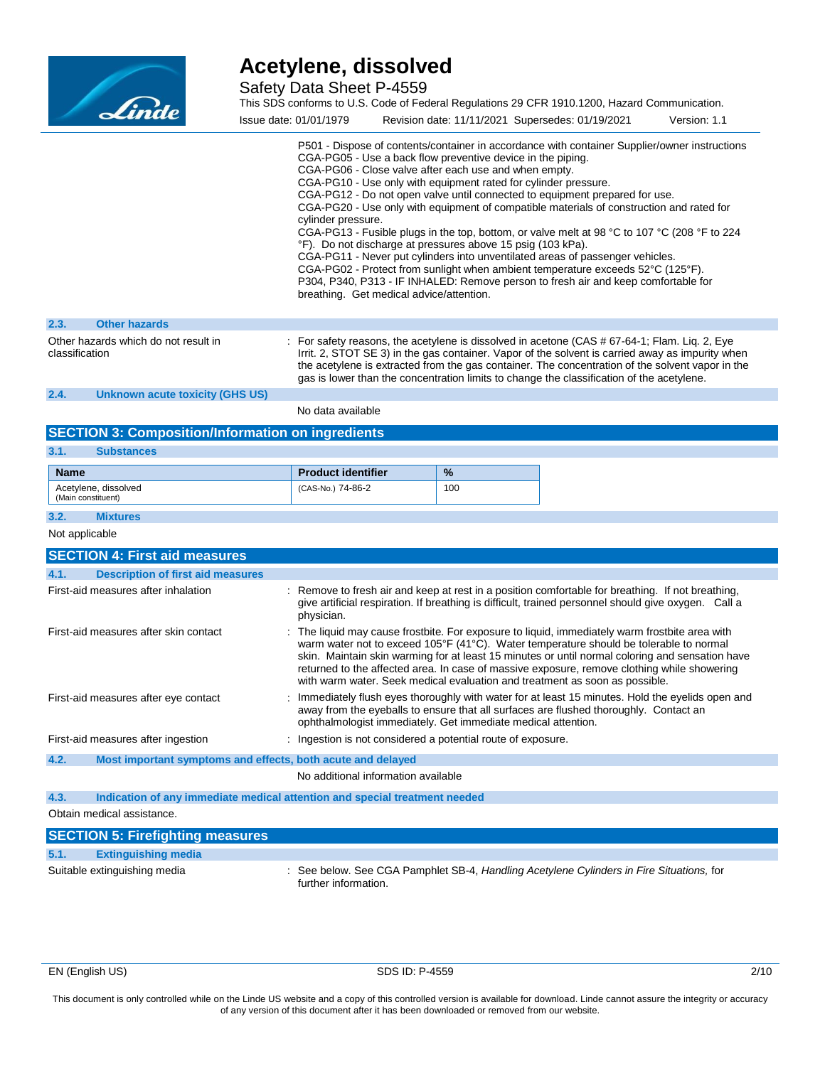

Safety Data Sheet P-4559

|                | Linde                                |                        | This SDS conforms to U.S. Code of Federal Regulations 29 CFR 1910.1200, Hazard Communication.                                                                                                                                                                                                                                                                                                                                                                                                                                                                                                                                                                                                                                                                                                                                                                                                                                                                 |              |
|----------------|--------------------------------------|------------------------|---------------------------------------------------------------------------------------------------------------------------------------------------------------------------------------------------------------------------------------------------------------------------------------------------------------------------------------------------------------------------------------------------------------------------------------------------------------------------------------------------------------------------------------------------------------------------------------------------------------------------------------------------------------------------------------------------------------------------------------------------------------------------------------------------------------------------------------------------------------------------------------------------------------------------------------------------------------|--------------|
|                |                                      | Issue date: 01/01/1979 | Revision date: 11/11/2021 Supersedes: 01/19/2021                                                                                                                                                                                                                                                                                                                                                                                                                                                                                                                                                                                                                                                                                                                                                                                                                                                                                                              | Version: 1.1 |
|                |                                      | cylinder pressure.     | P501 - Dispose of contents/container in accordance with container Supplier/owner instructions<br>CGA-PG05 - Use a back flow preventive device in the piping.<br>CGA-PG06 - Close valve after each use and when empty.<br>CGA-PG10 - Use only with equipment rated for cylinder pressure.<br>CGA-PG12 - Do not open valve until connected to equipment prepared for use.<br>CGA-PG20 - Use only with equipment of compatible materials of construction and rated for<br>CGA-PG13 - Fusible plugs in the top, bottom, or valve melt at 98 °C to 107 °C (208 °F to 224<br>°F). Do not discharge at pressures above 15 psig (103 kPa).<br>CGA-PG11 - Never put cylinders into unventilated areas of passenger vehicles.<br>CGA-PG02 - Protect from sunlight when ambient temperature exceeds $52^{\circ}$ C (125 $^{\circ}$ F).<br>P304, P340, P313 - IF INHALED: Remove person to fresh air and keep comfortable for<br>breathing. Get medical advice/attention. |              |
| 2.3.           | <b>Other hazards</b>                 |                        |                                                                                                                                                                                                                                                                                                                                                                                                                                                                                                                                                                                                                                                                                                                                                                                                                                                                                                                                                               |              |
| classification | Other hazards which do not result in |                        | : For safety reasons, the acetylene is dissolved in acetone (CAS # 67-64-1; Flam. Lig. 2, Eye<br>Irrit. 2, STOT SE 3) in the gas container. Vapor of the solvent is carried away as impurity when                                                                                                                                                                                                                                                                                                                                                                                                                                                                                                                                                                                                                                                                                                                                                             |              |

the acetylene is extracted from the gas container. The concentration of the solvent vapor in the gas is lower than the concentration limits to change the classification of the acetylene.

**2.4. Unknown acute toxicity (GHS US)**

No data available

| <b>SECTION 3: Composition/Information on ingredients</b>                           |                                                                                                                                                                                                                                                                                                                                                                                                                                                                           |     |
|------------------------------------------------------------------------------------|---------------------------------------------------------------------------------------------------------------------------------------------------------------------------------------------------------------------------------------------------------------------------------------------------------------------------------------------------------------------------------------------------------------------------------------------------------------------------|-----|
| 3.1.<br><b>Substances</b>                                                          |                                                                                                                                                                                                                                                                                                                                                                                                                                                                           |     |
| <b>Name</b>                                                                        | <b>Product identifier</b>                                                                                                                                                                                                                                                                                                                                                                                                                                                 | %   |
| Acetylene, dissolved<br>(Main constituent)                                         | (CAS-No.) 74-86-2                                                                                                                                                                                                                                                                                                                                                                                                                                                         | 100 |
| 3.2.<br><b>Mixtures</b>                                                            |                                                                                                                                                                                                                                                                                                                                                                                                                                                                           |     |
| Not applicable                                                                     |                                                                                                                                                                                                                                                                                                                                                                                                                                                                           |     |
| <b>SECTION 4: First aid measures</b>                                               |                                                                                                                                                                                                                                                                                                                                                                                                                                                                           |     |
| 4.1.<br><b>Description of first aid measures</b>                                   |                                                                                                                                                                                                                                                                                                                                                                                                                                                                           |     |
| First-aid measures after inhalation                                                | : Remove to fresh air and keep at rest in a position comfortable for breathing. If not breathing,<br>give artificial respiration. If breathing is difficult, trained personnel should give oxygen. Call a<br>physician.                                                                                                                                                                                                                                                   |     |
| First-aid measures after skin contact                                              | : The liquid may cause frostbite. For exposure to liquid, immediately warm frostbite area with<br>warm water not to exceed 105°F (41°C). Water temperature should be tolerable to normal<br>skin. Maintain skin warming for at least 15 minutes or until normal coloring and sensation have<br>returned to the affected area. In case of massive exposure, remove clothing while showering<br>with warm water. Seek medical evaluation and treatment as soon as possible. |     |
| First-aid measures after eye contact                                               | : Immediately flush eyes thoroughly with water for at least 15 minutes. Hold the eyelids open and<br>away from the eyeballs to ensure that all surfaces are flushed thoroughly. Contact an<br>ophthalmologist immediately. Get immediate medical attention.                                                                                                                                                                                                               |     |
| First-aid measures after ingestion                                                 | : Ingestion is not considered a potential route of exposure.                                                                                                                                                                                                                                                                                                                                                                                                              |     |
| 4.2.<br>Most important symptoms and effects, both acute and delayed                |                                                                                                                                                                                                                                                                                                                                                                                                                                                                           |     |
|                                                                                    | No additional information available                                                                                                                                                                                                                                                                                                                                                                                                                                       |     |
| 4.3.<br>Indication of any immediate medical attention and special treatment needed |                                                                                                                                                                                                                                                                                                                                                                                                                                                                           |     |

Obtain medical assistance.

|      | <b>SECTION 5: Firefighting measures</b> |                                                                                                                  |
|------|-----------------------------------------|------------------------------------------------------------------------------------------------------------------|
| 5.1. | <b>Extinguishing media</b>              |                                                                                                                  |
|      | Suitable extinguishing media            | : See below. See CGA Pamphlet SB-4, Handling Acetylene Cylinders in Fire Situations, for<br>further information. |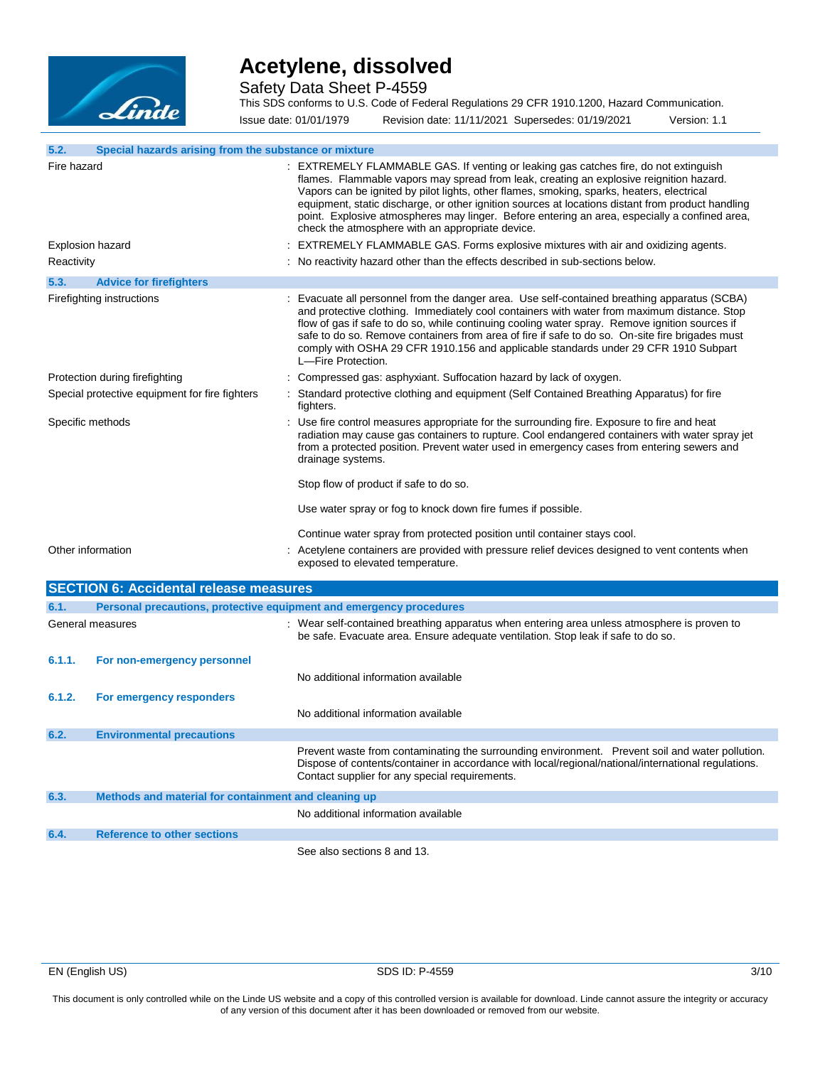

Safety Data Sheet P-4559

This SDS conforms to U.S. Code of Federal Regulations 29 CFR 1910.1200, Hazard Communication. Issue date: 01/01/1979 Revision date: 11/11/2021 Supersedes: 01/19/2021 Version: 1.1

| 5.2.              | Special hazards arising from the substance or mixture               |                                                                                                                                                                                                                                                                                                                                                                                                                                                                                                                                        |
|-------------------|---------------------------------------------------------------------|----------------------------------------------------------------------------------------------------------------------------------------------------------------------------------------------------------------------------------------------------------------------------------------------------------------------------------------------------------------------------------------------------------------------------------------------------------------------------------------------------------------------------------------|
|                   |                                                                     |                                                                                                                                                                                                                                                                                                                                                                                                                                                                                                                                        |
| Fire hazard       |                                                                     | : EXTREMELY FLAMMABLE GAS. If venting or leaking gas catches fire, do not extinguish<br>flames. Flammable vapors may spread from leak, creating an explosive reignition hazard.<br>Vapors can be ignited by pilot lights, other flames, smoking, sparks, heaters, electrical<br>equipment, static discharge, or other ignition sources at locations distant from product handling<br>point. Explosive atmospheres may linger. Before entering an area, especially a confined area,<br>check the atmosphere with an appropriate device. |
| Explosion hazard  |                                                                     | : EXTREMELY FLAMMABLE GAS. Forms explosive mixtures with air and oxidizing agents.                                                                                                                                                                                                                                                                                                                                                                                                                                                     |
| Reactivity        |                                                                     | : No reactivity hazard other than the effects described in sub-sections below.                                                                                                                                                                                                                                                                                                                                                                                                                                                         |
| 5.3.              | <b>Advice for firefighters</b>                                      |                                                                                                                                                                                                                                                                                                                                                                                                                                                                                                                                        |
|                   | Firefighting instructions                                           | : Evacuate all personnel from the danger area. Use self-contained breathing apparatus (SCBA)<br>and protective clothing. Immediately cool containers with water from maximum distance. Stop<br>flow of gas if safe to do so, while continuing cooling water spray. Remove ignition sources if<br>safe to do so. Remove containers from area of fire if safe to do so. On-site fire brigades must<br>comply with OSHA 29 CFR 1910.156 and applicable standards under 29 CFR 1910 Subpart<br>L-Fire Protection.                          |
|                   | Protection during firefighting                                      | Compressed gas: asphyxiant. Suffocation hazard by lack of oxygen.                                                                                                                                                                                                                                                                                                                                                                                                                                                                      |
|                   | Special protective equipment for fire fighters                      | : Standard protective clothing and equipment (Self Contained Breathing Apparatus) for fire<br>fighters.                                                                                                                                                                                                                                                                                                                                                                                                                                |
| Specific methods  |                                                                     | : Use fire control measures appropriate for the surrounding fire. Exposure to fire and heat<br>radiation may cause gas containers to rupture. Cool endangered containers with water spray jet<br>from a protected position. Prevent water used in emergency cases from entering sewers and<br>drainage systems.                                                                                                                                                                                                                        |
|                   |                                                                     | Stop flow of product if safe to do so.                                                                                                                                                                                                                                                                                                                                                                                                                                                                                                 |
|                   |                                                                     | Use water spray or fog to knock down fire fumes if possible.                                                                                                                                                                                                                                                                                                                                                                                                                                                                           |
|                   |                                                                     | Continue water spray from protected position until container stays cool.                                                                                                                                                                                                                                                                                                                                                                                                                                                               |
| Other information |                                                                     | Acetylene containers are provided with pressure relief devices designed to vent contents when<br>exposed to elevated temperature.                                                                                                                                                                                                                                                                                                                                                                                                      |
|                   | <b>SECTION 6: Accidental release measures</b>                       |                                                                                                                                                                                                                                                                                                                                                                                                                                                                                                                                        |
| 6.1.              | Personal precautions, protective equipment and emergency procedures |                                                                                                                                                                                                                                                                                                                                                                                                                                                                                                                                        |
| General measures  |                                                                     | : Wear self-contained breathing apparatus when entering area unless atmosphere is proven to<br>be safe. Evacuate area. Ensure adequate ventilation. Stop leak if safe to do so.                                                                                                                                                                                                                                                                                                                                                        |
| 6.1.1.            | For non-emergency personnel                                         |                                                                                                                                                                                                                                                                                                                                                                                                                                                                                                                                        |
|                   |                                                                     | No additional information available                                                                                                                                                                                                                                                                                                                                                                                                                                                                                                    |
| 6.1.2.            | For emergency responders                                            | No additional information available                                                                                                                                                                                                                                                                                                                                                                                                                                                                                                    |
| 6.2.              | <b>Environmental precautions</b>                                    |                                                                                                                                                                                                                                                                                                                                                                                                                                                                                                                                        |
|                   |                                                                     | Prevent waste from contaminating the surrounding environment. Prevent soil and water pollution.<br>Dispose of contents/container in accordance with local/regional/national/international regulations.<br>Contact supplier for any special requirements.                                                                                                                                                                                                                                                                               |
| 6.3.              | Methods and material for containment and cleaning up                |                                                                                                                                                                                                                                                                                                                                                                                                                                                                                                                                        |
|                   |                                                                     | No additional information available                                                                                                                                                                                                                                                                                                                                                                                                                                                                                                    |
| 6.4.              | <b>Reference to other sections</b>                                  |                                                                                                                                                                                                                                                                                                                                                                                                                                                                                                                                        |
|                   |                                                                     | See also sections 8 and 13.                                                                                                                                                                                                                                                                                                                                                                                                                                                                                                            |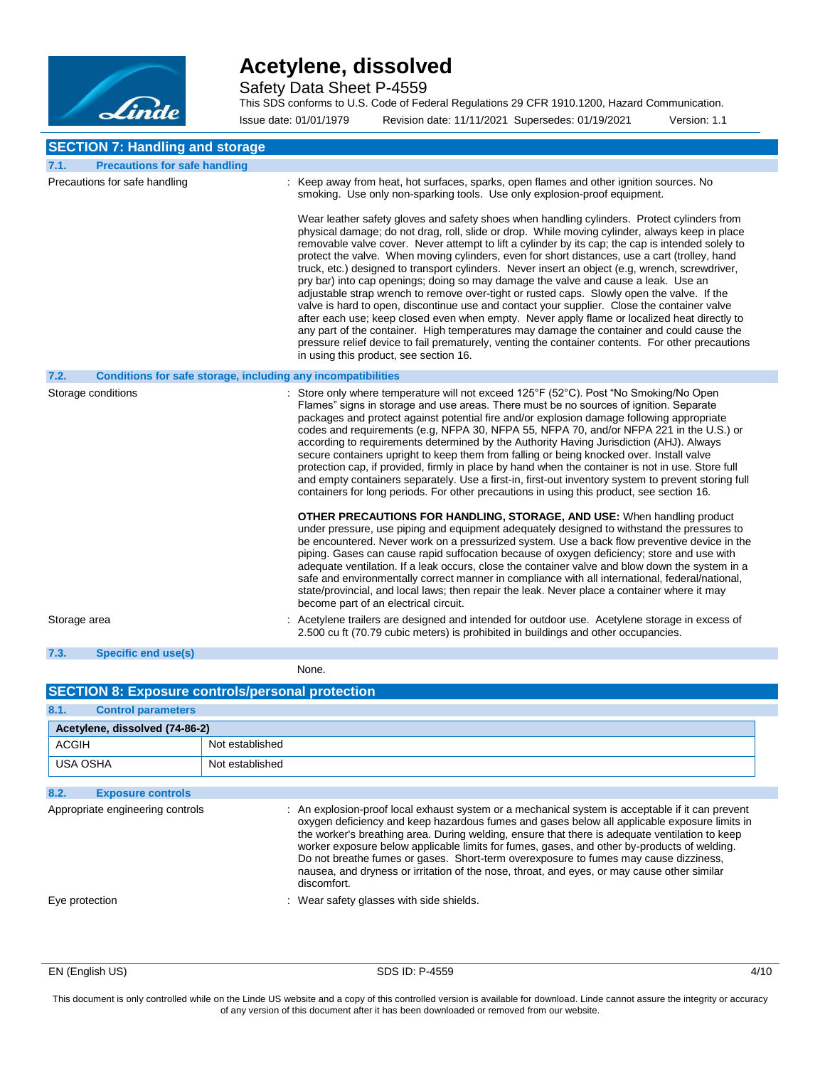

Safety Data Sheet P-4559

This SDS conforms to U.S. Code of Federal Regulations 29 CFR 1910.1200, Hazard Communication.

Issue date: 01/01/1979 Revision date: 11/11/2021 Supersedes: 01/19/2021 Version: 1.1 **SECTION 7: Handling and storage 7.1. Precautions for safe handling** Precautions for safe handling : Keep away from heat, hot surfaces, sparks, open flames and other ignition sources. No smoking. Use only non-sparking tools. Use only explosion-proof equipment. Wear leather safety gloves and safety shoes when handling cylinders. Protect cylinders from physical damage; do not drag, roll, slide or drop. While moving cylinder, always keep in place removable valve cover. Never attempt to lift a cylinder by its cap; the cap is intended solely to protect the valve. When moving cylinders, even for short distances, use a cart (trolley, hand truck, etc.) designed to transport cylinders. Never insert an object (e.g, wrench, screwdriver, pry bar) into cap openings; doing so may damage the valve and cause a leak. Use an adjustable strap wrench to remove over-tight or rusted caps. Slowly open the valve. If the valve is hard to open, discontinue use and contact your supplier. Close the container valve after each use; keep closed even when empty. Never apply flame or localized heat directly to any part of the container. High temperatures may damage the container and could cause the pressure relief device to fail prematurely, venting the container contents. For other precautions in using this product, see section 16. **7.2. Conditions for safe storage, including any incompatibilities** Storage conditions **interpretations** : Store only where temperature will not exceed 125°F (52°C). Post "No Smoking/No Open Flames" signs in storage and use areas. There must be no sources of ignition. Separate packages and protect against potential fire and/or explosion damage following appropriate codes and requirements (e.g, NFPA 30, NFPA 55, NFPA 70, and/or NFPA 221 in the U.S.) or according to requirements determined by the Authority Having Jurisdiction (AHJ). Always secure containers upright to keep them from falling or being knocked over. Install valve protection cap, if provided, firmly in place by hand when the container is not in use. Store full and empty containers separately. Use a first-in, first-out inventory system to prevent storing full containers for long periods. For other precautions in using this product, see section 16.

> **OTHER PRECAUTIONS FOR HANDLING, STORAGE, AND USE:** When handling product under pressure, use piping and equipment adequately designed to withstand the pressures to be encountered. Never work on a pressurized system. Use a back flow preventive device in the piping. Gases can cause rapid suffocation because of oxygen deficiency; store and use with adequate ventilation. If a leak occurs, close the container valve and blow down the system in a safe and environmentally correct manner in compliance with all international, federal/national, state/provincial, and local laws; then repair the leak. Never place a container where it may become part of an electrical circuit.

2.500 cu ft (70.79 cubic meters) is prohibited in buildings and other occupancies.

Storage area **interpretatal intervalse area** : Acetylene trailers are designed and intended for outdoor use. Acetylene storage in excess of

**7.3. Specific end use(s)**

None.

| <b>SECTION 8: Exposure controls/personal protection</b> |                 |                                                                                                                                                                                                  |  |
|---------------------------------------------------------|-----------------|--------------------------------------------------------------------------------------------------------------------------------------------------------------------------------------------------|--|
| 8.1.<br><b>Control parameters</b>                       |                 |                                                                                                                                                                                                  |  |
| Acetylene, dissolved (74-86-2)                          |                 |                                                                                                                                                                                                  |  |
| ACGIH                                                   | Not established |                                                                                                                                                                                                  |  |
| USA OSHA                                                | Not established |                                                                                                                                                                                                  |  |
| 8.2.<br><b>Exposure controls</b>                        |                 |                                                                                                                                                                                                  |  |
| Appropriate engineering controls                        |                 | : An explosion-proof local exhaust system or a mechanical system is acceptable if it can prevent<br>oxygen deficiency and keep hazardous fumes and gases below all applicable exposure limits in |  |

the worker's breathing area. During welding, ensure that there is adequate ventilation to keep worker exposure below applicable limits for fumes, gases, and other by-products of welding. Do not breathe fumes or gases. Short-term overexposure to fumes may cause dizziness, nausea, and dryness or irritation of the nose, throat, and eyes, or may cause other similar discomfort.

Eye protection : Wear safety glasses with side shields.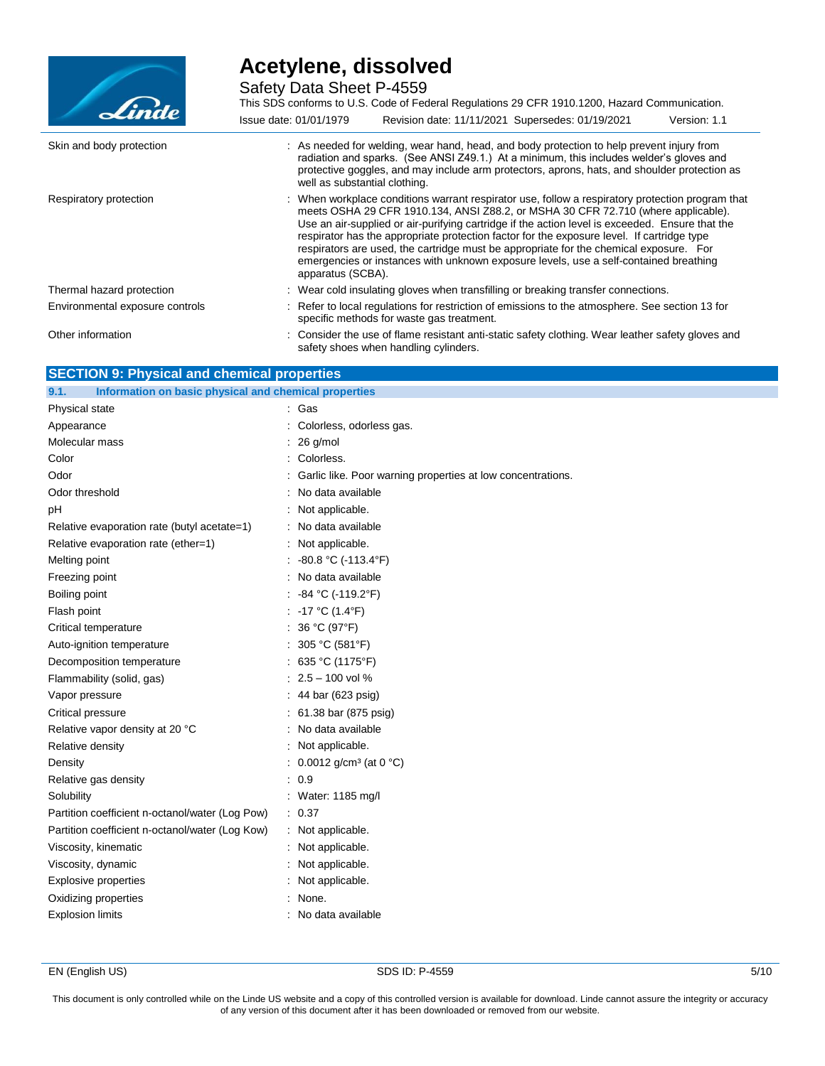

Safety Data Sheet P-4559

| Linde                           | This SDS conforms to U.S. Code of Federal Regulations 29 CFR 1910.1200, Hazard Communication.                                                                                                                                                                                                                                                                                                                                                                                                                                                                                                  |
|---------------------------------|------------------------------------------------------------------------------------------------------------------------------------------------------------------------------------------------------------------------------------------------------------------------------------------------------------------------------------------------------------------------------------------------------------------------------------------------------------------------------------------------------------------------------------------------------------------------------------------------|
|                                 | Revision date: 11/11/2021 Supersedes: 01/19/2021<br>Issue date: 01/01/1979<br>Version: 1.1                                                                                                                                                                                                                                                                                                                                                                                                                                                                                                     |
| Skin and body protection        | : As needed for welding, wear hand, head, and body protection to help prevent injury from<br>radiation and sparks. (See ANSI Z49.1.) At a minimum, this includes welder's gloves and<br>protective goggles, and may include arm protectors, aprons, hats, and shoulder protection as<br>well as substantial clothing.                                                                                                                                                                                                                                                                          |
| Respiratory protection          | : When workplace conditions warrant respirator use, follow a respiratory protection program that<br>meets OSHA 29 CFR 1910.134, ANSI Z88.2, or MSHA 30 CFR 72.710 (where applicable).<br>Use an air-supplied or air-purifying cartridge if the action level is exceeded. Ensure that the<br>respirator has the appropriate protection factor for the exposure level. If cartridge type<br>respirators are used, the cartridge must be appropriate for the chemical exposure. For<br>emergencies or instances with unknown exposure levels, use a self-contained breathing<br>apparatus (SCBA). |
| Thermal hazard protection       | : Wear cold insulating gloves when transfilling or breaking transfer connections.                                                                                                                                                                                                                                                                                                                                                                                                                                                                                                              |
| Environmental exposure controls | : Refer to local regulations for restriction of emissions to the atmosphere. See section 13 for<br>specific methods for waste gas treatment.                                                                                                                                                                                                                                                                                                                                                                                                                                                   |
| Other information               | : Consider the use of flame resistant anti-static safety clothing. Wear leather safety gloves and<br>safety shoes when handling cylinders.                                                                                                                                                                                                                                                                                                                                                                                                                                                     |

### **SECTION 9: Physical and chemical properties**

| Information on basic physical and chemical properties<br>9.1. |                                                             |
|---------------------------------------------------------------|-------------------------------------------------------------|
| Physical state                                                | : Gas                                                       |
| Appearance                                                    | Colorless, odorless gas.                                    |
| Molecular mass                                                | $26$ g/mol                                                  |
| Color                                                         | Colorless.                                                  |
| Odor                                                          | Garlic like. Poor warning properties at low concentrations. |
| Odor threshold                                                | No data available                                           |
| рH                                                            | Not applicable.                                             |
| Relative evaporation rate (butyl acetate=1)                   | : No data available                                         |
| Relative evaporation rate (ether=1)                           | Not applicable.                                             |
| Melting point                                                 | : $-80.8 °C (-113.4 °F)$                                    |
| Freezing point                                                | : No data available                                         |
| Boiling point                                                 | -84 °C (-119.2°F)                                           |
| Flash point                                                   | : -17 °C (1.4°F)                                            |
| Critical temperature                                          | : $36 °C (97 °F)$                                           |
| Auto-ignition temperature                                     | : $305 °C (581 °F)$                                         |
| Decomposition temperature                                     | : $635 °C (1175 °F)$                                        |
| Flammability (solid, gas)                                     | $: 2.5 - 100$ vol %                                         |
| Vapor pressure                                                | : 44 bar (623 psig)                                         |
| Critical pressure                                             | : 61.38 bar (875 psig)                                      |
| Relative vapor density at 20 °C                               | No data available                                           |
| Relative density                                              | Not applicable.                                             |
| Density                                                       | : $0.0012$ g/cm <sup>3</sup> (at 0 °C)                      |
| Relative gas density                                          | : 0.9                                                       |
| Solubility                                                    | : Water: 1185 mg/l                                          |
| Partition coefficient n-octanol/water (Log Pow)               | : 0.37                                                      |
| Partition coefficient n-octanol/water (Log Kow)               | : Not applicable.                                           |
| Viscosity, kinematic                                          | Not applicable.                                             |
| Viscosity, dynamic                                            | : Not applicable.                                           |
| <b>Explosive properties</b>                                   | : Not applicable.                                           |
| Oxidizing properties                                          | None.                                                       |
| <b>Explosion limits</b>                                       | : No data available                                         |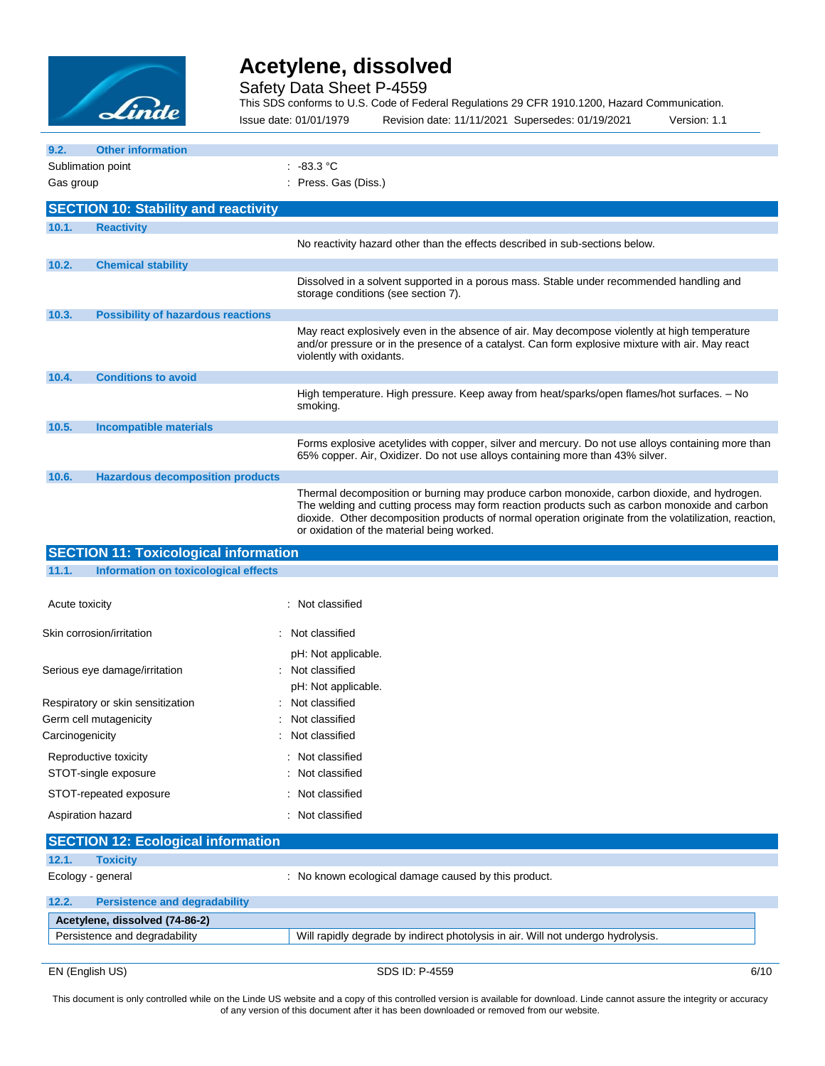

Safety Data Sheet P-4559

This SDS conforms to U.S. Code of Federal Regulations 29 CFR 1910.1200, Hazard Communication.

Issue date: 01/01/1979 Revision date: 11/11/2021 Supersedes: 01/19/2021 Version: 1.1

| 9.2.                              | <b>Other information</b>                     |                                                                                                                                                                                                                                                                                                                                                      |
|-----------------------------------|----------------------------------------------|------------------------------------------------------------------------------------------------------------------------------------------------------------------------------------------------------------------------------------------------------------------------------------------------------------------------------------------------------|
| Sublimation point                 |                                              | .483.3 °C                                                                                                                                                                                                                                                                                                                                            |
| Gas group                         |                                              | Press. Gas (Diss.)                                                                                                                                                                                                                                                                                                                                   |
|                                   | <b>SECTION 10: Stability and reactivity</b>  |                                                                                                                                                                                                                                                                                                                                                      |
| 10.1.                             | <b>Reactivity</b>                            |                                                                                                                                                                                                                                                                                                                                                      |
|                                   |                                              | No reactivity hazard other than the effects described in sub-sections below.                                                                                                                                                                                                                                                                         |
| 10.2.                             | <b>Chemical stability</b>                    |                                                                                                                                                                                                                                                                                                                                                      |
|                                   |                                              | Dissolved in a solvent supported in a porous mass. Stable under recommended handling and<br>storage conditions (see section 7).                                                                                                                                                                                                                      |
| 10.3.                             | <b>Possibility of hazardous reactions</b>    |                                                                                                                                                                                                                                                                                                                                                      |
|                                   |                                              | May react explosively even in the absence of air. May decompose violently at high temperature<br>and/or pressure or in the presence of a catalyst. Can form explosive mixture with air. May react<br>violently with oxidants.                                                                                                                        |
| 10.4.                             | <b>Conditions to avoid</b>                   |                                                                                                                                                                                                                                                                                                                                                      |
|                                   |                                              | High temperature. High pressure. Keep away from heat/sparks/open flames/hot surfaces. - No<br>smoking.                                                                                                                                                                                                                                               |
| 10.5.                             | <b>Incompatible materials</b>                |                                                                                                                                                                                                                                                                                                                                                      |
|                                   |                                              | Forms explosive acetylides with copper, silver and mercury. Do not use alloys containing more than<br>65% copper. Air, Oxidizer. Do not use alloys containing more than 43% silver.                                                                                                                                                                  |
| 10.6.                             | <b>Hazardous decomposition products</b>      |                                                                                                                                                                                                                                                                                                                                                      |
|                                   |                                              | Thermal decomposition or burning may produce carbon monoxide, carbon dioxide, and hydrogen.<br>The welding and cutting process may form reaction products such as carbon monoxide and carbon<br>dioxide. Other decomposition products of normal operation originate from the volatilization, reaction,<br>or oxidation of the material being worked. |
|                                   | <b>SECTION 11: Toxicological information</b> |                                                                                                                                                                                                                                                                                                                                                      |
| 11.1.                             | Information on toxicological effects         |                                                                                                                                                                                                                                                                                                                                                      |
| Acute toxicity                    |                                              | : Not classified                                                                                                                                                                                                                                                                                                                                     |
|                                   | Skin corrosion/irritation                    | Not classified                                                                                                                                                                                                                                                                                                                                       |
|                                   |                                              | pH: Not applicable.                                                                                                                                                                                                                                                                                                                                  |
|                                   | Serious eye damage/irritation                | Not classified                                                                                                                                                                                                                                                                                                                                       |
|                                   |                                              | pH: Not applicable.                                                                                                                                                                                                                                                                                                                                  |
| Respiratory or skin sensitization |                                              | Not classified                                                                                                                                                                                                                                                                                                                                       |
| Germ cell mutagenicity            |                                              | Not classified                                                                                                                                                                                                                                                                                                                                       |
| Carcinogenicity                   |                                              | Not classified                                                                                                                                                                                                                                                                                                                                       |

| Reproductive toxicity  | . Not classified |
|------------------------|------------------|
| STOT-single exposure   | : Not classified |
| STOT-repeated exposure | : Not classified |
| Aspiration hazard      | : Not classified |

|       | <b>SECTION 12: Ecological information</b> |                                                                                  |
|-------|-------------------------------------------|----------------------------------------------------------------------------------|
| 12.1. | <b>Toxicity</b>                           |                                                                                  |
|       | Ecology - general                         | : No known ecological damage caused by this product.                             |
| 12.2. | <b>Persistence and degradability</b>      |                                                                                  |
|       | Acetylene, dissolved (74-86-2)            |                                                                                  |
|       | Persistence and degradability             | Will rapidly degrade by indirect photolysis in air. Will not undergo hydrolysis. |
|       |                                           |                                                                                  |

EN (English US) 6/10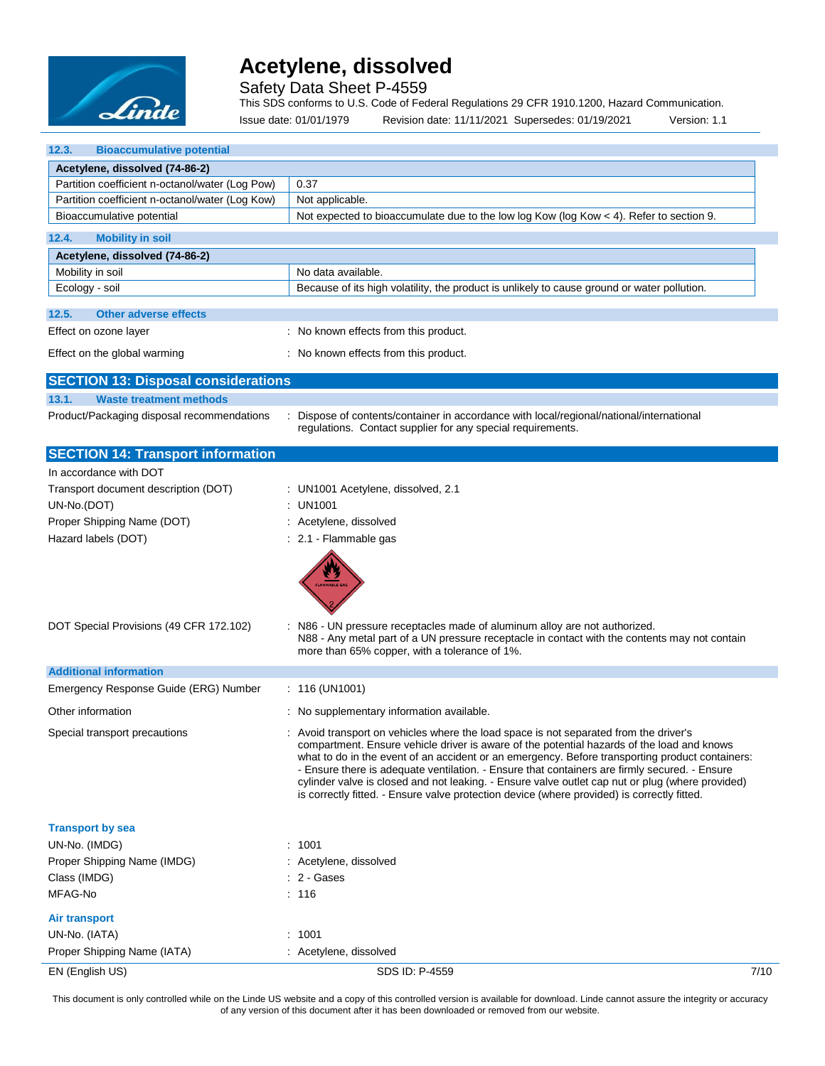

Safety Data Sheet P-4559

This SDS conforms to U.S. Code of Federal Regulations 29 CFR 1910.1200, Hazard Communication.

Issue date: 01/01/1979 Revision date: 11/11/2021 Supersedes: 01/19/2021 Version: 1.1

| 12.3.<br><b>Bioaccumulative potential</b>       |                                                                                                                                                                                                                                                                                                                                                                                                                                                                                                                                                                                            |  |
|-------------------------------------------------|--------------------------------------------------------------------------------------------------------------------------------------------------------------------------------------------------------------------------------------------------------------------------------------------------------------------------------------------------------------------------------------------------------------------------------------------------------------------------------------------------------------------------------------------------------------------------------------------|--|
| Acetylene, dissolved (74-86-2)                  |                                                                                                                                                                                                                                                                                                                                                                                                                                                                                                                                                                                            |  |
| Partition coefficient n-octanol/water (Log Pow) | 0.37                                                                                                                                                                                                                                                                                                                                                                                                                                                                                                                                                                                       |  |
| Partition coefficient n-octanol/water (Log Kow) | Not applicable.                                                                                                                                                                                                                                                                                                                                                                                                                                                                                                                                                                            |  |
| Bioaccumulative potential                       | Not expected to bioaccumulate due to the low log Kow (log Kow < 4). Refer to section 9.                                                                                                                                                                                                                                                                                                                                                                                                                                                                                                    |  |
| 12.4.<br><b>Mobility in soil</b>                |                                                                                                                                                                                                                                                                                                                                                                                                                                                                                                                                                                                            |  |
| Acetylene, dissolved (74-86-2)                  |                                                                                                                                                                                                                                                                                                                                                                                                                                                                                                                                                                                            |  |
| Mobility in soil                                | No data available.                                                                                                                                                                                                                                                                                                                                                                                                                                                                                                                                                                         |  |
| Ecology - soil                                  | Because of its high volatility, the product is unlikely to cause ground or water pollution.                                                                                                                                                                                                                                                                                                                                                                                                                                                                                                |  |
| 12.5.<br><b>Other adverse effects</b>           |                                                                                                                                                                                                                                                                                                                                                                                                                                                                                                                                                                                            |  |
| Effect on ozone layer                           | : No known effects from this product.                                                                                                                                                                                                                                                                                                                                                                                                                                                                                                                                                      |  |
|                                                 |                                                                                                                                                                                                                                                                                                                                                                                                                                                                                                                                                                                            |  |
| Effect on the global warming                    | : No known effects from this product.                                                                                                                                                                                                                                                                                                                                                                                                                                                                                                                                                      |  |
| <b>SECTION 13: Disposal considerations</b>      |                                                                                                                                                                                                                                                                                                                                                                                                                                                                                                                                                                                            |  |
| 13.1.<br><b>Waste treatment methods</b>         |                                                                                                                                                                                                                                                                                                                                                                                                                                                                                                                                                                                            |  |
| Product/Packaging disposal recommendations      | Dispose of contents/container in accordance with local/regional/national/international<br>regulations. Contact supplier for any special requirements.                                                                                                                                                                                                                                                                                                                                                                                                                                      |  |
| <b>SECTION 14: Transport information</b>        |                                                                                                                                                                                                                                                                                                                                                                                                                                                                                                                                                                                            |  |
| In accordance with DOT                          |                                                                                                                                                                                                                                                                                                                                                                                                                                                                                                                                                                                            |  |
| Transport document description (DOT)            | : UN1001 Acetylene, dissolved, 2.1                                                                                                                                                                                                                                                                                                                                                                                                                                                                                                                                                         |  |
| UN-No.(DOT)                                     | : UN1001                                                                                                                                                                                                                                                                                                                                                                                                                                                                                                                                                                                   |  |
| Proper Shipping Name (DOT)                      | : Acetylene, dissolved                                                                                                                                                                                                                                                                                                                                                                                                                                                                                                                                                                     |  |
| Hazard labels (DOT)                             | : 2.1 - Flammable gas                                                                                                                                                                                                                                                                                                                                                                                                                                                                                                                                                                      |  |
|                                                 |                                                                                                                                                                                                                                                                                                                                                                                                                                                                                                                                                                                            |  |
| DOT Special Provisions (49 CFR 172.102)         | : N86 - UN pressure receptacles made of aluminum alloy are not authorized.<br>N88 - Any metal part of a UN pressure receptacle in contact with the contents may not contain<br>more than 65% copper, with a tolerance of 1%.                                                                                                                                                                                                                                                                                                                                                               |  |
| <b>Additional information</b>                   |                                                                                                                                                                                                                                                                                                                                                                                                                                                                                                                                                                                            |  |
| Emergency Response Guide (ERG) Number           | $: 116$ (UN1001)                                                                                                                                                                                                                                                                                                                                                                                                                                                                                                                                                                           |  |
| Other information                               | : No supplementary information available.                                                                                                                                                                                                                                                                                                                                                                                                                                                                                                                                                  |  |
| Special transport precautions                   | : Avoid transport on vehicles where the load space is not separated from the driver's<br>compartment. Ensure vehicle driver is aware of the potential hazards of the load and knows<br>what to do in the event of an accident or an emergency. Before transporting product containers:<br>- Ensure there is adequate ventilation. - Ensure that containers are firmly secured. - Ensure<br>cylinder valve is closed and not leaking. - Ensure valve outlet cap nut or plug (where provided)<br>is correctly fitted. - Ensure valve protection device (where provided) is correctly fitted. |  |
| <b>Transport by sea</b>                         |                                                                                                                                                                                                                                                                                                                                                                                                                                                                                                                                                                                            |  |
| UN-No. (IMDG)                                   | : 1001                                                                                                                                                                                                                                                                                                                                                                                                                                                                                                                                                                                     |  |
| Proper Shipping Name (IMDG)                     | : Acetylene, dissolved                                                                                                                                                                                                                                                                                                                                                                                                                                                                                                                                                                     |  |
| Class (IMDG)                                    | $: 2 - \text{Gases}$                                                                                                                                                                                                                                                                                                                                                                                                                                                                                                                                                                       |  |
| MFAG-No                                         | : 116                                                                                                                                                                                                                                                                                                                                                                                                                                                                                                                                                                                      |  |
| <b>Air transport</b>                            |                                                                                                                                                                                                                                                                                                                                                                                                                                                                                                                                                                                            |  |
| UN-No. (IATA)                                   | : 1001                                                                                                                                                                                                                                                                                                                                                                                                                                                                                                                                                                                     |  |
| Proper Shipping Name (IATA)                     | : Acetylene, dissolved                                                                                                                                                                                                                                                                                                                                                                                                                                                                                                                                                                     |  |
| EN (English US)                                 | SDS ID: P-4559<br>7/10                                                                                                                                                                                                                                                                                                                                                                                                                                                                                                                                                                     |  |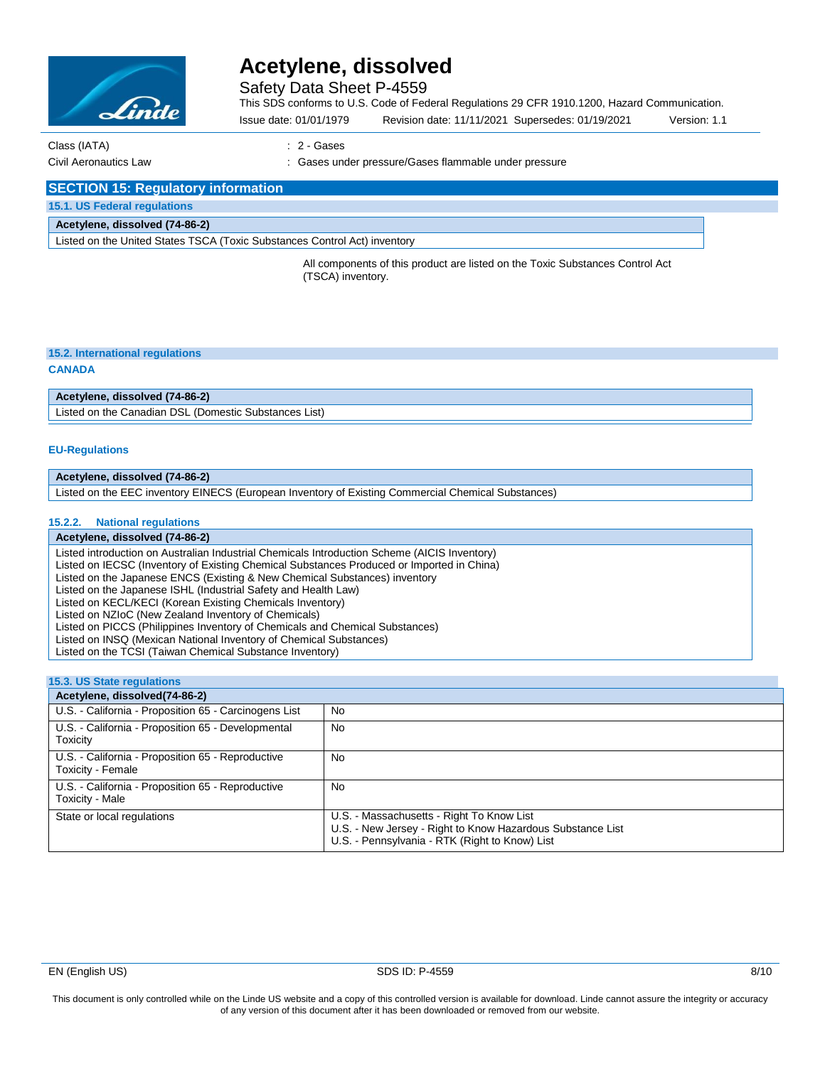

Safety Data Sheet P-4559

This SDS conforms to U.S. Code of Federal Regulations 29 CFR 1910.1200, Hazard Communication.

Issue date: 01/01/1979 Revision date: 11/11/2021 Supersedes: 01/19/2021 Version: 1.1

Class (IATA) : 2 - Gases

Civil Aeronautics Law : Gases under pressure/Gases flammable under pressure

#### **SECTION 15: Regulatory information**

**15.1. US Federal regulations**

#### **Acetylene, dissolved (74-86-2)**

Listed on the United States TSCA (Toxic Substances Control Act) inventory

All components of this product are listed on the Toxic Substances Control Act (TSCA) inventory.

#### **15.2. International regulations**

#### **CANADA**

#### **Acetylene, dissolved (74-86-2)**

Listed on the Canadian DSL (Domestic Substances List)

#### **EU-Regulations**

#### **Acetylene, dissolved (74-86-2)**

Listed on the EEC inventory EINECS (European Inventory of Existing Commercial Chemical Substances)

#### **15.2.2. National regulations**

#### **Acetylene, dissolved (74-86-2)**

Listed introduction on Australian Industrial Chemicals Introduction Scheme (AICIS Inventory)

Listed on IECSC (Inventory of Existing Chemical Substances Produced or Imported in China)

- Listed on the Japanese ENCS (Existing & New Chemical Substances) inventory
- Listed on the Japanese ISHL (Industrial Safety and Health Law)
- Listed on KECL/KECI (Korean Existing Chemicals Inventory)

Listed on NZIoC (New Zealand Inventory of Chemicals)

Listed on PICCS (Philippines Inventory of Chemicals and Chemical Substances)

Listed on INSQ (Mexican National Inventory of Chemical Substances)

Listed on the TCSI (Taiwan Chemical Substance Inventory)

| <b>15.3. US State regulations</b>                                      |                                                                                                                                                           |
|------------------------------------------------------------------------|-----------------------------------------------------------------------------------------------------------------------------------------------------------|
| Acetylene, dissolved(74-86-2)                                          |                                                                                                                                                           |
| U.S. - California - Proposition 65 - Carcinogens List                  | No                                                                                                                                                        |
| U.S. - California - Proposition 65 - Developmental<br>Toxicity         | <b>No</b>                                                                                                                                                 |
| U.S. - California - Proposition 65 - Reproductive<br>Toxicity - Female | No                                                                                                                                                        |
| U.S. - California - Proposition 65 - Reproductive<br>Toxicity - Male   | <b>No</b>                                                                                                                                                 |
| State or local regulations                                             | U.S. - Massachusetts - Right To Know List<br>U.S. - New Jersey - Right to Know Hazardous Substance List<br>U.S. - Pennsylvania - RTK (Right to Know) List |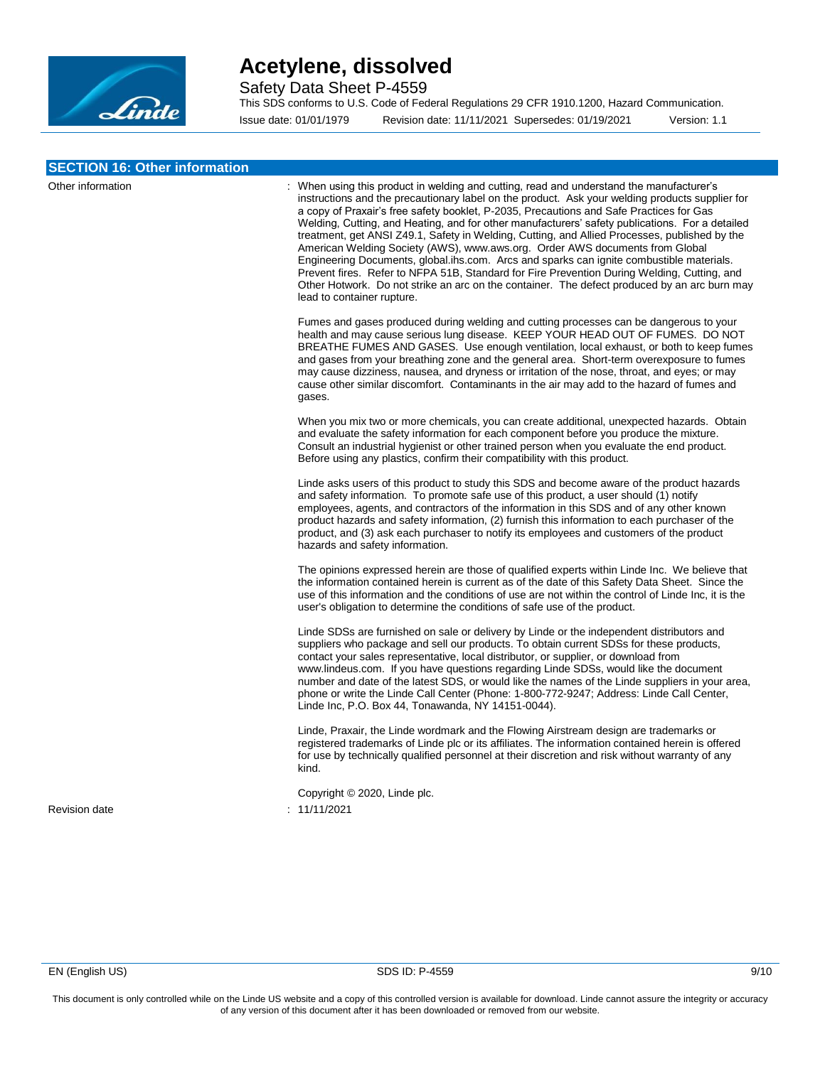

Safety Data Sheet P-4559

This SDS conforms to U.S. Code of Federal Regulations 29 CFR 1910.1200, Hazard Communication.

Issue date: 01/01/1979 Revision date: 11/11/2021 Supersedes: 01/19/2021 Version: 1.1

| <b>SECTION 16: Other information</b> |                                                                                                                                                                                                                                                                                                                                                                                                                                                                                                                                                                                                                                                                                                                                                                                                                                                                                                      |
|--------------------------------------|------------------------------------------------------------------------------------------------------------------------------------------------------------------------------------------------------------------------------------------------------------------------------------------------------------------------------------------------------------------------------------------------------------------------------------------------------------------------------------------------------------------------------------------------------------------------------------------------------------------------------------------------------------------------------------------------------------------------------------------------------------------------------------------------------------------------------------------------------------------------------------------------------|
| Other information                    | : When using this product in welding and cutting, read and understand the manufacturer's<br>instructions and the precautionary label on the product. Ask your welding products supplier for<br>a copy of Praxair's free safety booklet, P-2035, Precautions and Safe Practices for Gas<br>Welding, Cutting, and Heating, and for other manufacturers' safety publications. For a detailed<br>treatment, get ANSI Z49.1, Safety in Welding, Cutting, and Allied Processes, published by the<br>American Welding Society (AWS), www.aws.org. Order AWS documents from Global<br>Engineering Documents, global lihs.com. Arcs and sparks can ignite combustible materials.<br>Prevent fires. Refer to NFPA 51B, Standard for Fire Prevention During Welding, Cutting, and<br>Other Hotwork. Do not strike an arc on the container. The defect produced by an arc burn may<br>lead to container rupture. |
|                                      | Fumes and gases produced during welding and cutting processes can be dangerous to your<br>health and may cause serious lung disease. KEEP YOUR HEAD OUT OF FUMES. DO NOT<br>BREATHE FUMES AND GASES. Use enough ventilation, local exhaust, or both to keep fumes<br>and gases from your breathing zone and the general area. Short-term overexposure to fumes<br>may cause dizziness, nausea, and dryness or irritation of the nose, throat, and eyes; or may<br>cause other similar discomfort. Contaminants in the air may add to the hazard of fumes and<br>gases.                                                                                                                                                                                                                                                                                                                               |
|                                      | When you mix two or more chemicals, you can create additional, unexpected hazards. Obtain<br>and evaluate the safety information for each component before you produce the mixture.<br>Consult an industrial hygienist or other trained person when you evaluate the end product.<br>Before using any plastics, confirm their compatibility with this product.                                                                                                                                                                                                                                                                                                                                                                                                                                                                                                                                       |
|                                      | Linde asks users of this product to study this SDS and become aware of the product hazards<br>and safety information. To promote safe use of this product, a user should (1) notify<br>employees, agents, and contractors of the information in this SDS and of any other known<br>product hazards and safety information, (2) furnish this information to each purchaser of the<br>product, and (3) ask each purchaser to notify its employees and customers of the product<br>hazards and safety information.                                                                                                                                                                                                                                                                                                                                                                                      |
|                                      | The opinions expressed herein are those of qualified experts within Linde Inc. We believe that<br>the information contained herein is current as of the date of this Safety Data Sheet. Since the<br>use of this information and the conditions of use are not within the control of Linde Inc, it is the<br>user's obligation to determine the conditions of safe use of the product.                                                                                                                                                                                                                                                                                                                                                                                                                                                                                                               |
|                                      | Linde SDSs are furnished on sale or delivery by Linde or the independent distributors and<br>suppliers who package and sell our products. To obtain current SDSs for these products,<br>contact your sales representative, local distributor, or supplier, or download from<br>www.lindeus.com. If you have questions regarding Linde SDSs, would like the document<br>number and date of the latest SDS, or would like the names of the Linde suppliers in your area,<br>phone or write the Linde Call Center (Phone: 1-800-772-9247; Address: Linde Call Center,<br>Linde Inc, P.O. Box 44, Tonawanda, NY 14151-0044).                                                                                                                                                                                                                                                                             |
|                                      | Linde, Praxair, the Linde wordmark and the Flowing Airstream design are trademarks or<br>registered trademarks of Linde plc or its affiliates. The information contained herein is offered<br>for use by technically qualified personnel at their discretion and risk without warranty of any<br>kind.                                                                                                                                                                                                                                                                                                                                                                                                                                                                                                                                                                                               |
| <b>Revision date</b>                 | Copyright © 2020, Linde plc.<br>: 11/11/2021                                                                                                                                                                                                                                                                                                                                                                                                                                                                                                                                                                                                                                                                                                                                                                                                                                                         |
|                                      |                                                                                                                                                                                                                                                                                                                                                                                                                                                                                                                                                                                                                                                                                                                                                                                                                                                                                                      |